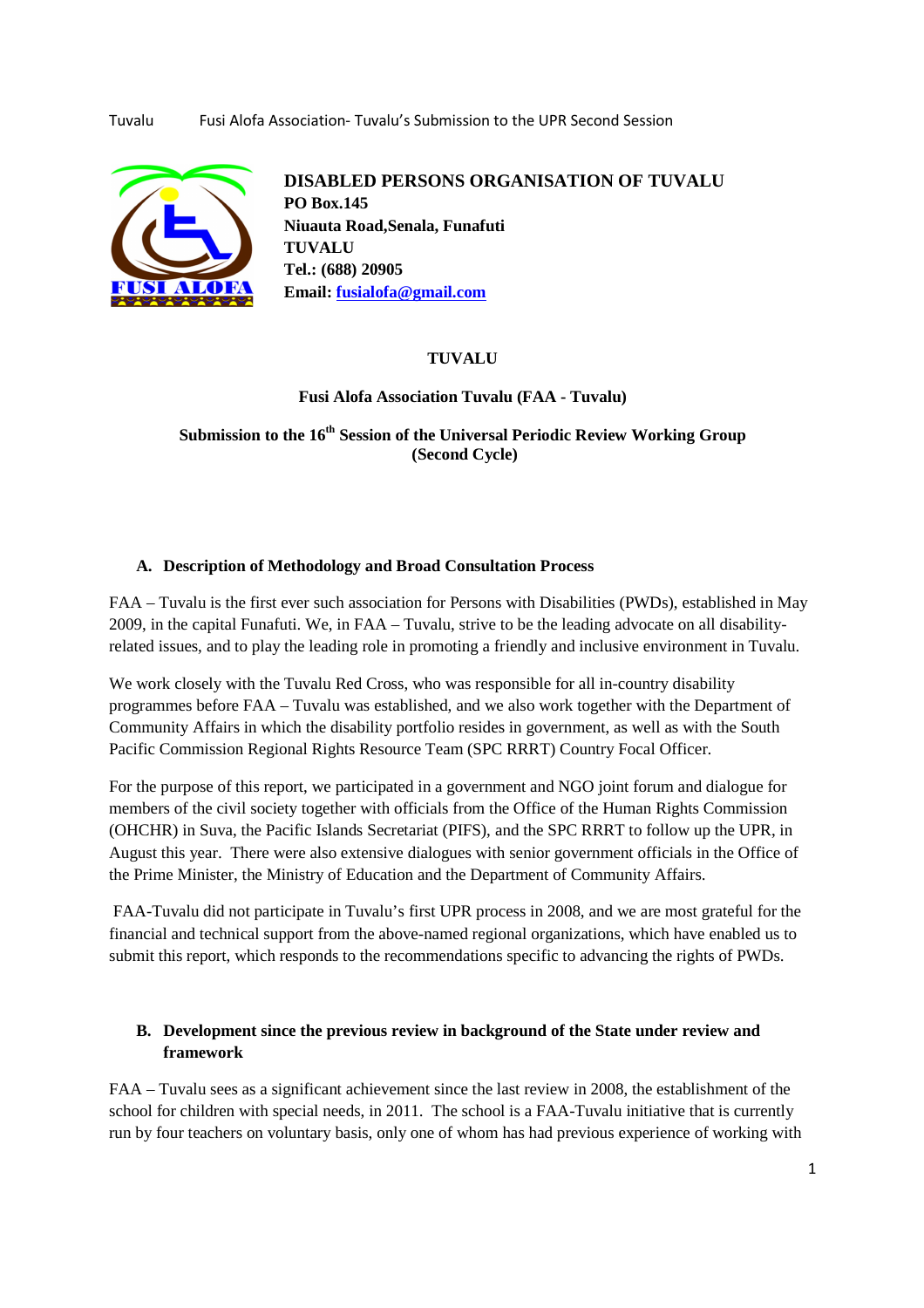

**DISABLED PERSONS ORGANISATION OF TUVALU PO Box.145 Niuauta Road,Senala, Funafuti TUVALU Tel.: (688) 20905 Email: fusialofa@gmail.com**

## **TUVALU**

**Fusi Alofa Association Tuvalu (FAA - Tuvalu)** 

**Submission to the 16th Session of the Universal Periodic Review Working Group (Second Cycle)** 

### **A. Description of Methodology and Broad Consultation Process**

FAA – Tuvalu is the first ever such association for Persons with Disabilities (PWDs), established in May 2009, in the capital Funafuti. We, in FAA – Tuvalu, strive to be the leading advocate on all disabilityrelated issues, and to play the leading role in promoting a friendly and inclusive environment in Tuvalu.

We work closely with the Tuvalu Red Cross, who was responsible for all in-country disability programmes before FAA – Tuvalu was established, and we also work together with the Department of Community Affairs in which the disability portfolio resides in government, as well as with the South Pacific Commission Regional Rights Resource Team (SPC RRRT) Country Focal Officer.

For the purpose of this report, we participated in a government and NGO joint forum and dialogue for members of the civil society together with officials from the Office of the Human Rights Commission (OHCHR) in Suva, the Pacific Islands Secretariat (PIFS), and the SPC RRRT to follow up the UPR, in August this year. There were also extensive dialogues with senior government officials in the Office of the Prime Minister, the Ministry of Education and the Department of Community Affairs.

 FAA-Tuvalu did not participate in Tuvalu's first UPR process in 2008, and we are most grateful for the financial and technical support from the above-named regional organizations, which have enabled us to submit this report, which responds to the recommendations specific to advancing the rights of PWDs.

# **B. Development since the previous review in background of the State under review and framework**

FAA – Tuvalu sees as a significant achievement since the last review in 2008, the establishment of the school for children with special needs, in 2011. The school is a FAA-Tuvalu initiative that is currently run by four teachers on voluntary basis, only one of whom has had previous experience of working with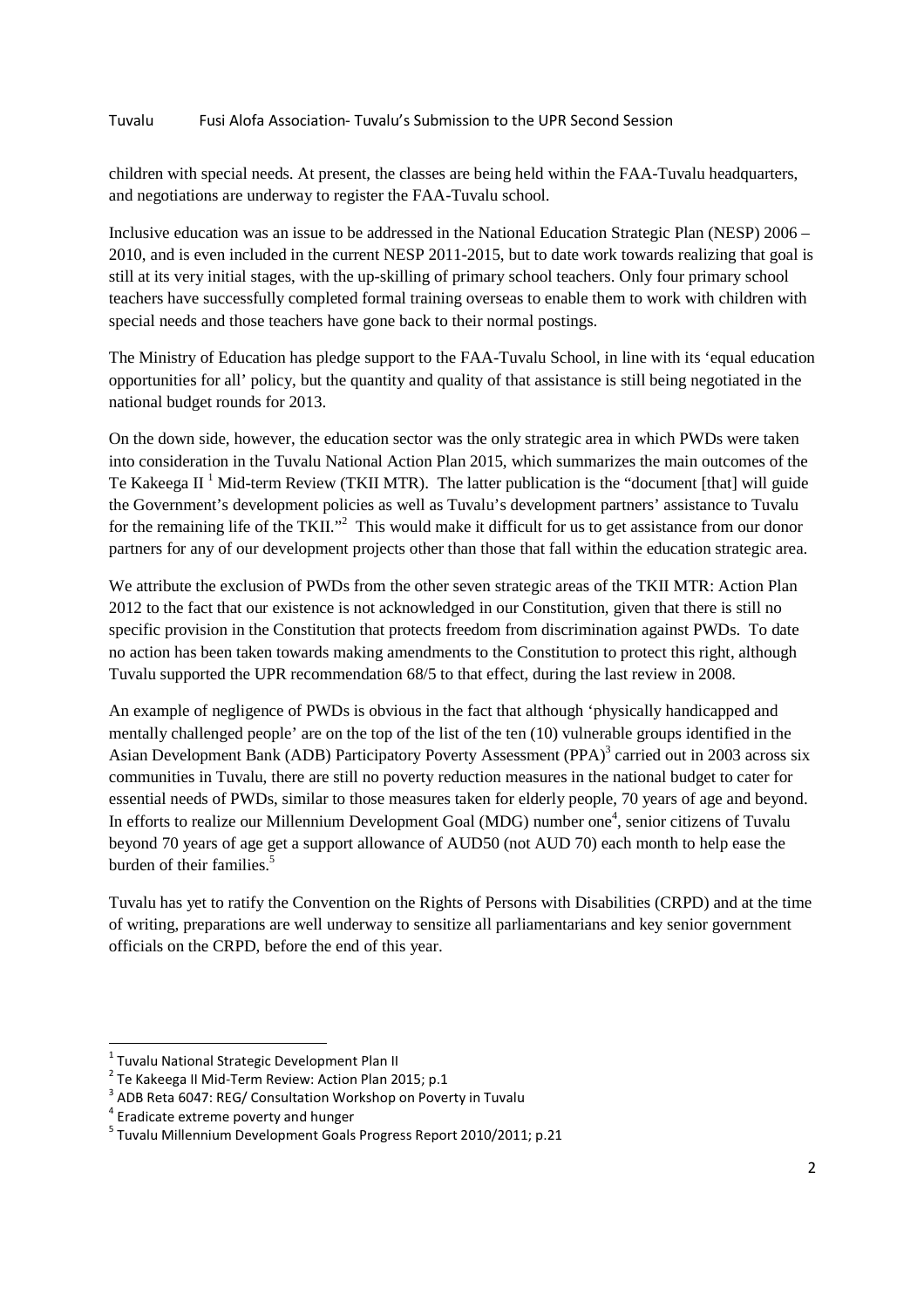children with special needs. At present, the classes are being held within the FAA-Tuvalu headquarters, and negotiations are underway to register the FAA-Tuvalu school.

Inclusive education was an issue to be addressed in the National Education Strategic Plan (NESP) 2006 – 2010, and is even included in the current NESP 2011-2015, but to date work towards realizing that goal is still at its very initial stages, with the up-skilling of primary school teachers. Only four primary school teachers have successfully completed formal training overseas to enable them to work with children with special needs and those teachers have gone back to their normal postings.

The Ministry of Education has pledge support to the FAA-Tuvalu School, in line with its 'equal education opportunities for all' policy, but the quantity and quality of that assistance is still being negotiated in the national budget rounds for 2013.

On the down side, however, the education sector was the only strategic area in which PWDs were taken into consideration in the Tuvalu National Action Plan 2015, which summarizes the main outcomes of the Te Kakeega II<sup>1</sup> Mid-term Review (TKII MTR). The latter publication is the "document [that] will guide the Government's development policies as well as Tuvalu's development partners' assistance to Tuvalu for the remaining life of the TKII."<sup>2</sup> This would make it difficult for us to get assistance from our donor partners for any of our development projects other than those that fall within the education strategic area.

We attribute the exclusion of PWDs from the other seven strategic areas of the TKII MTR: Action Plan 2012 to the fact that our existence is not acknowledged in our Constitution, given that there is still no specific provision in the Constitution that protects freedom from discrimination against PWDs. To date no action has been taken towards making amendments to the Constitution to protect this right, although Tuvalu supported the UPR recommendation 68/5 to that effect, during the last review in 2008.

An example of negligence of PWDs is obvious in the fact that although 'physically handicapped and mentally challenged people' are on the top of the list of the ten (10) vulnerable groups identified in the Asian Development Bank (ADB) Participatory Poverty Assessment (PPA)<sup>3</sup> carried out in 2003 across six communities in Tuvalu, there are still no poverty reduction measures in the national budget to cater for essential needs of PWDs, similar to those measures taken for elderly people, 70 years of age and beyond. In efforts to realize our Millennium Development Goal (MDG) number one<sup>4</sup>, senior citizens of Tuvalu beyond 70 years of age get a support allowance of AUD50 (not AUD 70) each month to help ease the burden of their families.<sup>5</sup>

Tuvalu has yet to ratify the Convention on the Rights of Persons with Disabilities (CRPD) and at the time of writing, preparations are well underway to sensitize all parliamentarians and key senior government officials on the CRPD, before the end of this year.

 $\overline{a}$ 

 $^{1}$  Tuvalu National Strategic Development Plan II

<sup>2</sup> Te Kakeega II Mid-Term Review: Action Plan 2015; p.1

<sup>&</sup>lt;sup>3</sup> ADB Reta 6047: REG/ Consultation Workshop on Poverty in Tuvalu

<sup>4</sup> Eradicate extreme poverty and hunger

<sup>5</sup> Tuvalu Millennium Development Goals Progress Report 2010/2011; p.21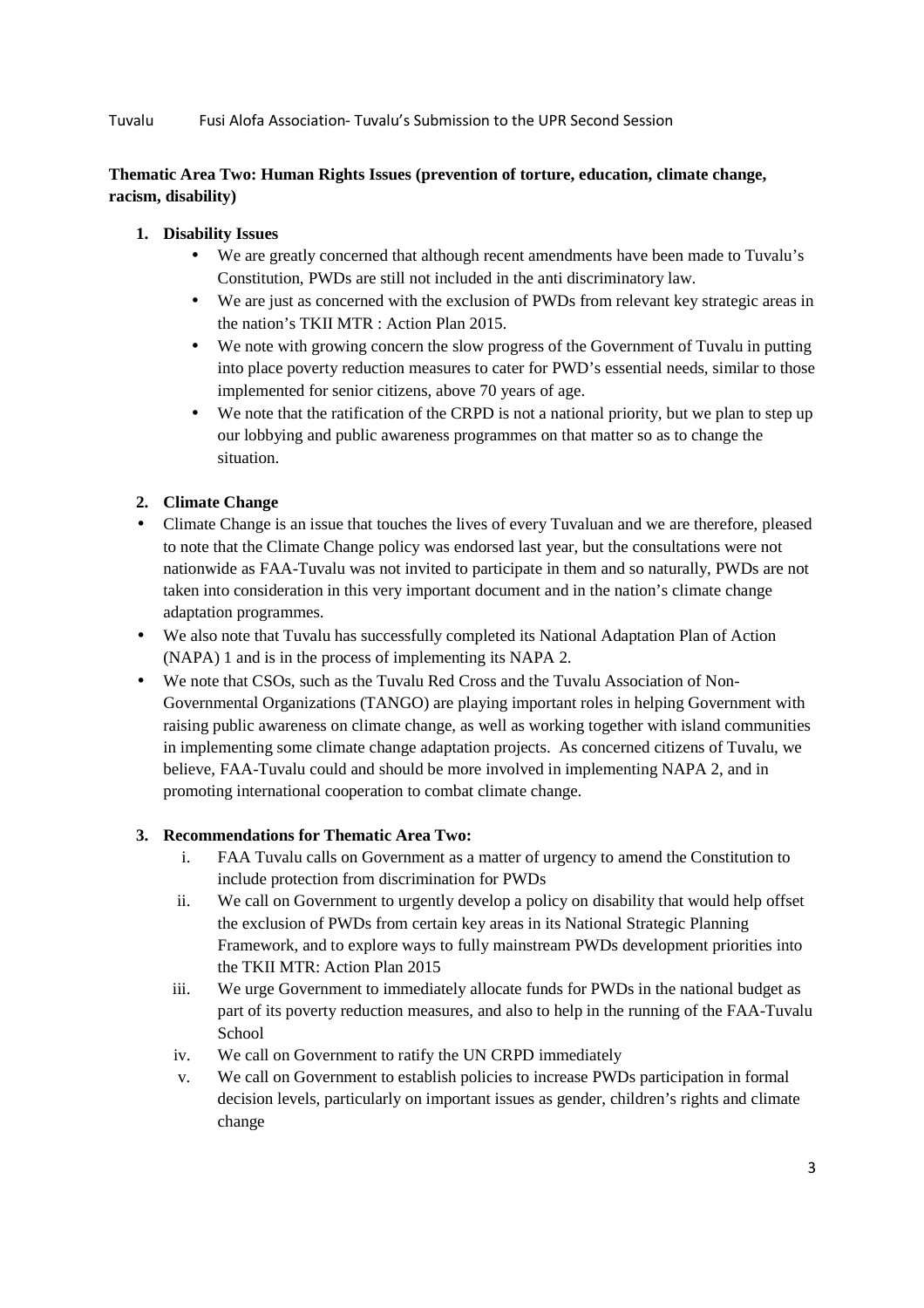# **Thematic Area Two: Human Rights Issues (prevention of torture, education, climate change, racism, disability)**

## **1. Disability Issues**

- We are greatly concerned that although recent amendments have been made to Tuvalu's Constitution, PWDs are still not included in the anti discriminatory law.
- We are just as concerned with the exclusion of PWDs from relevant key strategic areas in the nation's TKII MTR : Action Plan 2015.
- We note with growing concern the slow progress of the Government of Tuvalu in putting into place poverty reduction measures to cater for PWD's essential needs, similar to those implemented for senior citizens, above 70 years of age.
- We note that the ratification of the CRPD is not a national priority, but we plan to step up our lobbying and public awareness programmes on that matter so as to change the situation.

# **2. Climate Change**

- Climate Change is an issue that touches the lives of every Tuvaluan and we are therefore, pleased to note that the Climate Change policy was endorsed last year, but the consultations were not nationwide as FAA-Tuvalu was not invited to participate in them and so naturally, PWDs are not taken into consideration in this very important document and in the nation's climate change adaptation programmes.
- We also note that Tuvalu has successfully completed its National Adaptation Plan of Action (NAPA) 1 and is in the process of implementing its NAPA 2.
- We note that CSOs, such as the Tuvalu Red Cross and the Tuvalu Association of Non-Governmental Organizations (TANGO) are playing important roles in helping Government with raising public awareness on climate change, as well as working together with island communities in implementing some climate change adaptation projects. As concerned citizens of Tuvalu, we believe, FAA-Tuvalu could and should be more involved in implementing NAPA 2, and in promoting international cooperation to combat climate change.

### **3. Recommendations for Thematic Area Two:**

- i. FAA Tuvalu calls on Government as a matter of urgency to amend the Constitution to include protection from discrimination for PWDs
- ii. We call on Government to urgently develop a policy on disability that would help offset the exclusion of PWDs from certain key areas in its National Strategic Planning Framework, and to explore ways to fully mainstream PWDs development priorities into the TKII MTR: Action Plan 2015
- iii. We urge Government to immediately allocate funds for PWDs in the national budget as part of its poverty reduction measures, and also to help in the running of the FAA-Tuvalu **School**
- iv. We call on Government to ratify the UN CRPD immediately
- v. We call on Government to establish policies to increase PWDs participation in formal decision levels, particularly on important issues as gender, children's rights and climate change